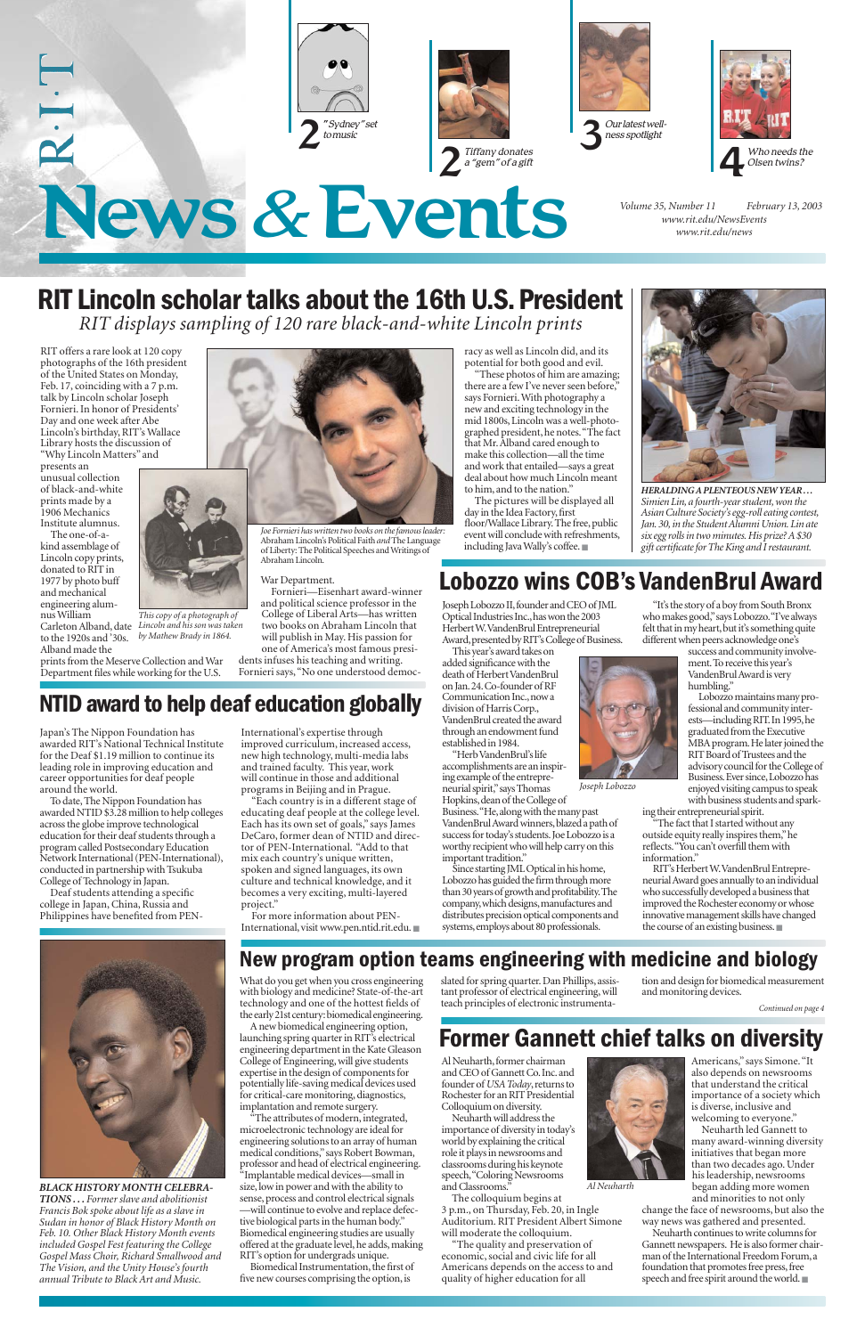# News *&*Events

RIT offers a rare look at 120 copy photographs of the 16th president of the United States on Monday, Feb. 17, coinciding with a 7 p.m. talk by Lincoln scholar Joseph Fornieri. In honor of Presidents' Day and one week after Abe Lincoln's birthday, RIT's Wallace Library hosts the discussion of "Why Lincoln Matters" and

presents an unusual collection of black-and-white prints made by a 1906 Mechanics Institute alumnus.

The one-of-akind assemblage of Lincoln copy prints, donated to RIT in 1977 by photo buff and mechanical engineering alumnus William to the 1920s and '30s.



Alband made the prints from the Meserve Collection and War Department files while working for the U.S.

#### War Department.

Fornieri—Eisenhart award-winner and political science professor in the College of Liberal Arts—has written two books on Abraham Lincoln that will publish in May. His passion for one of America's most famous presidents infuses his teaching and writing. Fornieri says,"No one understood democ-

**New program option teams engineering with medicine and biology**  tion and design for biomedical measurer

racy as well as Lincoln did, and its potential for both good and evil.

"These photos of him are amazing; there are a few I've never seen before, says Fornieri.With photography a new and exciting technology in the mid 1800s, Lincoln was a well-photographed president, he notes."The fact that Mr. Alband cared enough to make this collection—all the time and work that entailed—says a great deal about how much Lincoln meant to him, and to the nation."

The attributes of modern, integrated, microelectronic technology are ideal for engineering solutions to an array of human medical conditions,"says Robert Bowman, professor and head of electrical engineering. "Implantable medical devices—small in size, low in power and with the ability to sense, process and control electrical signals —will continue to evolve and replace defective biological parts in the human body." Biomedical engineering studies are usually offered at the graduate level, he adds, making RIT's option for undergrads unique.

The pictures will be displayed all day in the Idea Factory, first floor/Wallace Library. The free, public event will conclude with refreshments, including Java Wally's coffee.■

What do you get when you cross engineering slated for spring quarter. Dan Phillips, assistant professor of electrical engineering, will teach principles of electronic instrumenta-

*Volume 35, Number 11 February 13, 2003 www.rit.edu/NewsEvents www.rit.edu/news*











with biology and medicine? State-of-the-art technology and one of the hottest fields of the early 21st century:biomedical engineering.

Carleton Alband, date *Lincoln and his son was taken This copy of a photograph of by Mathew Brady in 1864.*



A new biomedical engineering option, launching spring quarter in RIT's electrical engineering department in the Kate Gleason College of Engineering, will give students expertise in the design of components for potentially life-saving medical devices used for critical-care monitoring, diagnostics, implantation and remote surgery.

Al Neuharth, former chairman and CEO of Gannett Co.Inc.and founder of *USA Today*, returns to Rochester for an RIT Presidential Colloquium on diversity.

Biomedical Instrumentation, the first of five new courses comprising the option, is

and monitoring devices.



*HERALDING A PLENTEOUS NEW YEAR . . . Simien Lin, a fourth-year student, won the Asian Culture Society's egg-roll eating contest, Jan. 30, in the Student Alumni Union. Lin ate six egg rolls in two minutes. His prize? A \$30 gift certificate for The King and I restaurant.*

Joseph Lobozzo II,founder and CEO of JML Optical Industries Inc., has won the 2003 Herbert W.VandenBrul Entrepreneurial Award, presented by RIT's College of Business.

# **RIT Lincoln scholar talks about the 16th U.S.President**

*RIT displays sampling of 120 rare black-and-white Lincoln prints*



*Joe Fornieri has written two books on the famous leader:* Abraham Lincoln's Political Faith *and* The Language of Liberty: The Political Speeches and Writings of Abraham Lincoln.

*Continued on page 4*

**NTID award to help deaf education globally**

Japan's The Nippon Foundation has awarded RIT's National Technical Institute for the Deaf \$1.19 million to continue its leading role in improving education and career opportunities for deaf people around the world.

> ing their entrepreneurial spirit. "The fact that I started without any outside equity really inspires them,"he reflects."You can't overfill them with information.

To date, The Nippon Foundation has awarded NTID \$3.28 million to help colleges across the globe improve technological education for their deaf students through a program called Postsecondary Education Network International (PEN-International), conducted in partnership with Tsukuba College of Technology in Japan.

Deaf students attending a specific college in Japan, China, Russia and Philippines have benefited from PEN- International's expertise through improved curriculum, increased access, new high technology, multi-media labs and trained faculty. This year, work

will continue in those and additional programs in Beijing and in Prague.

"Each country is in a different stage of educating deaf people at the college level. Each has its own set of goals," says James DeCaro, former dean of NTID and director of PEN-International. "Add to that mix each country's unique written, spoken and signed languages, its own culture and technical knowledge, and it becomes a very exciting, multi-layered project."

For more information about PEN-International, visit www.pen.ntid.rit.edu. ■

*BLACK HISTORY MONTH CELEBRA-TIONS . . . Former slave and abolitionist Francis Bok spoke about life as a slave in Sudan in honor of Black History Month on Feb. 10. Other Black History Month events included Gospel Fest featuring the College Gospel Mass Choir, Richard Smallwood and The Vision, and the Unity House's fourth annual Tribute to Black Art and Music.*

# **Former Gannett chief talks on diversity**

Neuharth will address the importance of diversity in today's world by explaining the critical role it plays in newsrooms and classrooms during his keynote speech,"Coloring Newsrooms and Classrooms."



The colloquium begins at 3 p.m., on Thursday, Feb. 20, in Ingle Auditorium. RIT President Albert Simone will moderate the colloquium.

"The quality and preservation of economic, social and civic life for all Americans depends on the access to and quality of higher education for all

Americans," says Simone."It also depends on newsrooms that understand the critical importance of a society which is diverse, inclusive and welcoming to everyone."

Neuharth led Gannett to many award-winning diversity initiatives that began more than two decades ago. Under his leadership, newsrooms began adding more women and minorities to not only change the face of newsrooms, but also the way news was gathered and presented.

Neuharth continues to write columns for Gannett newspapers. He is also former chairman of the International Freedom Forum,a foundation that promotes free press, free speech and free spirit around the world.■

*Al Neuharth*

# **Lobozzo wins COB's VandenBrul Award**

This year's award takes on added significance with the death of Herbert VandenBrul on Jan.24.Co-founder of RF Communication Inc., now a division of Harris Corp., VandenBrul created the award through an endowment fund established in 1984.

"Herb VandenBrul's life accomplishments are an inspiring example of the entrepreneurial spirit,"says Thomas Hopkins,dean of the College of Business. "He, along with the many past VandenBrul Award winners,blazed a path of success for today's students. Joe Lobozzo is a worthy recipient who will help carry on this important tradition."

Since starting JML Optical in his home, Lobozzo has guided the firm through more than 30 years of growth and profitability.The company,which designs,manufactures and distributes precision optical components and systems,employs about 80 professionals.

"It's the story of a boy from South Bronx



Lobozzo maintains many professional and community interests—including RIT.In 1995,he graduated from the Executive MBA program. He later joined the RIT Board of Trustees and the advisory council for the College of Business.Ever since,Lobozzo has enjoyed visiting campus to speak with business students and spark-

RIT's Herbert W.VandenBrul Entrepreneurial Award goes annually to an individual who successfully developed a business that improved the Rochester economy or whose innovative management skills have changed the course of an existing business.■

*Joseph Lobozzo*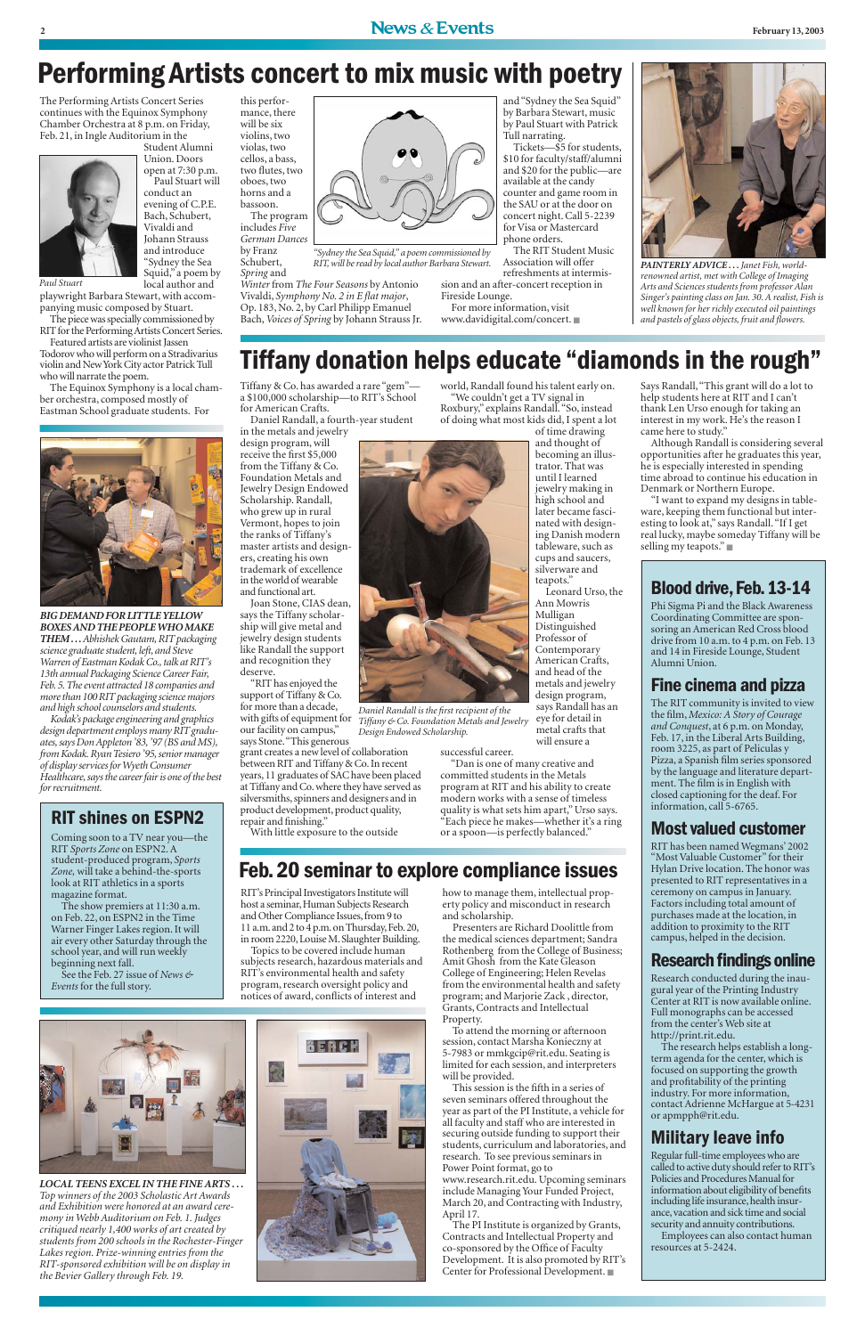The Performing Artists Concert Series continues with the Equinox Symphony Chamber Orchestra at 8 p.m. on Friday, Feb. 21, in Ingle Auditorium in the



Vivaldi and Johann Strauss and introduce "Sydney the Sea Squid," a poem by

local author and playwright Barbara Stewart, with accompanying music composed by Stuart.

The piece was specially commissioned by RIT for the Performing Artists Concert Series.

Student Alumni Union. Doors open at 7:30 p.m. Paul Stuart will conduct an evening of C.P.E. Bach, Schubert, will be six bassoon.

Featured artists are violinist Jassen Todorov who will perform on a Stradivarius violin and New York City actor Patrick Tull who will narrate the poem.

The Equinox Symphony is a local chamber orchestra, composed mostly of Eastman School graduate students. For





includes *Five German Dances* by Franz Schubert,

*Winter* from *The Four Seasons* by Antonio Vivaldi, *Symphony No. 2 in E flat major*, Op. 183, No. 2, by Carl Philipp Emanuel Bach,*Voices of Spring* by Johann Strauss Jr.

and "Sydney the Sea Squid" by Barbara Stewart, music by Paul Stuart with Patrick Tull narrating.

Tickets—\$5 for students, \$10 for faculty/staff/alumni and \$20 for the public—are available at the candy counter and game room in the SAU or at the door on concert night. Call 5-2239 for Visa or Mastercard phone orders.

*Spring* and *RIT, will be read by local author Barbara Stewart.*

sion and an after-concert reception in Fireside Lounge.

For more information, visit www.davidigital.com/concert. ■

The RIT Student Music Association will offer refreshments at intermis-*"Sydney the Sea Squid," a poem commissioned by*

# **Performing Artists concert to mix music with poetry**

# **Tiffany donation helps educate "diamonds in the rough"**

*Paul Stuart*

Tiffany & Co. has awarded a rare "gem" a \$100,000 scholarship—to RIT's School for American Crafts.

Daniel Randall, a fourth-year student

in the metals and jewelry design program, will receive the first \$5,000 from the Tiffany & Co. Foundation Metals and Jewelry Design Endowed Scholarship. Randall, who grew up in rural Vermont, hopes to join the ranks of Tiffany's master artists and designers, creating his own trademark of excellence in the world of wearable and functional art.

Joan Stone, CIAS dean, says the Tiffany scholarship will give metal and jewelry design students like Randall the support and recognition they deserve.

"RIT has enjoyed the support of Tiffany & Co. for more than a decade, our facility on campus," says Stone."This generous grant creates a new level of collaboration

between RIT and Tiffany & Co. In recent years, 11 graduates of SAC have been placed at Tiffany and Co. where they have served as silversmiths, spinners and designers and in product development, product quality, repair and finishing."

With little exposure to the outside

world, Randall found his talent early on. "We couldn't get a TV signal in

Roxbury," explains Randall."So, instead of doing what most kids did, I spent a lot of time drawing

> and thought of becoming an illustrator. That was until I learned jewelry making in high school and later became fascinated with designing Danish modern tableware, such as cups and saucers, silverware and teapots." Leonard Urso, the Ann Mowris Mulligan Distinguished Professor of Contemporary American Crafts, and head of the metals and jewelry design program, says Randall has an eye for detail in

metal crafts that

will ensure a

successful career.

"Dan is one of many creative and committed students in the Metals program at RIT and his ability to create modern works with a sense of timeless quality is what sets him apart," Urso says. "Each piece he makes—whether it's a ring or a spoon—is perfectly balanced."

Says Randall,"This grant will do a lot to help students here at RIT and I can't thank Len Urso enough for taking an interest in my work. He's the reason I came here to study."

Although Randall is considering several opportunities after he graduates this year, he is especially interested in spending time abroad to continue his education in Denmark or Northern Europe.

"I want to expand my designs in tableware, keeping them functional but interesting to look at," says Randall."If I get real lucky, maybe someday Tiffany will be selling my teapots." ■



*PAINTERLY ADVICE . . .Janet Fish, worldrenowned artist, met with College of Imaging Arts and Sciences students from professor Alan Singer's painting class on Jan. 30. A realist, Fish is well known for her richly executed oil paintings and pastels of glass objects, fruit and flowers.*

RIT's Principal Investigators Institute will host a seminar, Human Subjects Research and Other Compliance Issues, from 9 to 11 a.m. and 2 to 4 p.m. on Thursday, Feb. 20, in room 2220,Louise M.Slaughter Building.

Topics to be covered include human subjects research, hazardous materials and RIT's environmental health and safety

program, research oversight policy and notices of award, conflicts of interest and



how to manage them, intellectual property policy and misconduct in research and scholarship.

Presenters are Richard Doolittle from the medical sciences department; Sandra Rothenberg from the College of Business; Amit Ghosh from the Kate Gleason College of Engineering; Helen Revelas from the environmental health and safety program; and Marjorie Zack , director, Grants, Contracts and Intellectual Property.

with gifts of equipment for *Tiffany & Co. Foundation Metals and Jewelry Daniel Randall is the first recipient of the Design Endowed Scholarship.*

To attend the morning or afternoon session, contact Marsha Konieczny at 5-7983 or mmkgcip@rit.edu. Seating is limited for each session, and interpreters will be provided.

This session is the fifth in a series of seven seminars offered throughout the year as part of the PI Institute, a vehicle for all faculty and staff who are interested in securing outside funding to support their students, curriculum and laboratories, and research. To see previous seminars in Power Point format, go to www.research.rit.edu. Upcoming seminars include Managing Your Funded Project, March 20, and Contracting with Industry, April 17.

The PI Institute is organized by Grants, Contracts and Intellectual Property and co-sponsored by the Office of Faculty Development. It is also promoted by RIT's Center for Professional Development. ■

## **Blood drive,Feb.13-14**

Phi Sigma Pi and the Black Awareness Coordinating Committee are sponsoring an American Red Cross blood drive from 10 a.m. to 4 p.m. on Feb. 13 and 14 in Fireside Lounge, Student Alumni Union.

## **Fine cinema and pizza**

The RIT community is invited to view the film, *Mexico: A Story of Courage and Conquest*, at 6 p.m. on Monday, Feb. 17, in the Liberal Arts Building, room 3225, as part of Peliculas y Pizza, a Spanish film series sponsored by the language and literature department. The film is in English with closed captioning for the deaf. For information, call 5-6765.

## **Most valued customer**

RIT has been named Wegmans' 2002 "Most Valuable Customer" for their Hylan Drive location. The honor was presented to RIT representatives in a ceremony on campus in January. Factors including total amount of purchases made at the location, in addition to proximity to the RIT campus, helped in the decision.

### **Research findings online**

Research conducted during the inau-

gural year of the Printing Industry Center at RIT is now available online. Full monographs can be accessed from the center's Web site at http://print.rit.edu.

The research helps establish a longterm agenda for the center, which is focused on supporting the growth and profitability of the printing industry. For more information, contact Adrienne McHargue at 5-4231 or apmpph@rit.edu.

## **Military leave info**

Regular full-time employees who are called to active duty should refer to RIT's Policies and Procedures Manual for information about eligibility of benefits including life insurance, health insurance,vacation and sick time and social security and annuity contributions. Employees can also contact human resources at 5-2424.

#### *LOCAL TEENS EXCEL IN THE FINE ARTS . . .*

*Top winners of the 2003 Scholastic Art Awards and Exhibition were honored at an award ceremony in Webb Auditorium on Feb. 1. Judges critiqued nearly 1,400 works of art created by students from 200 schools in the Rochester-Finger Lakes region. Prize-winning entries from the RIT-sponsored exhibition will be on display in the Bevier Gallery through Feb. 19.*



## **RIT shines on ESPN2**

Coming soon to a TV near you—the RIT *Sports Zone* on ESPN2. A student-produced program, *Sports Zone,* will take a behind-the-sports look at RIT athletics in a sports magazine format.

The show premiers at 11:30 a.m. on Feb. 22, on ESPN2 in the Time Warner Finger Lakes region. It will air every other Saturday through the school year, and will run weekly beginning next fall.

See the Feb. 27 issue of *News &*

#### *Events* for the full story.

*BIG DEMAND FOR LITTLE YELLOW BOXES AND THE PEOPLE WHO MAKE THEM . . .Abhishek Gautam, RIT packaging science graduate student, left, and Steve Warren of Eastman Kodak Co., talk at RIT's 13th annual Packaging Science Career Fair, Feb. 5.The event attracted 18 companies and more than 100 RIT packaging science majors and high school counselors and students.*

*Kodak's package engineering and graphics design department employs many RIT graduates, says Don Appleton '83, '97 (BS and MS), from Kodak. Ryan Tesiero '95, senior manager of display services for Wyeth Consumer Healthcare, says the career fair is one of the best for recruitment.*

# **Feb.20 seminar to explore compliance issues**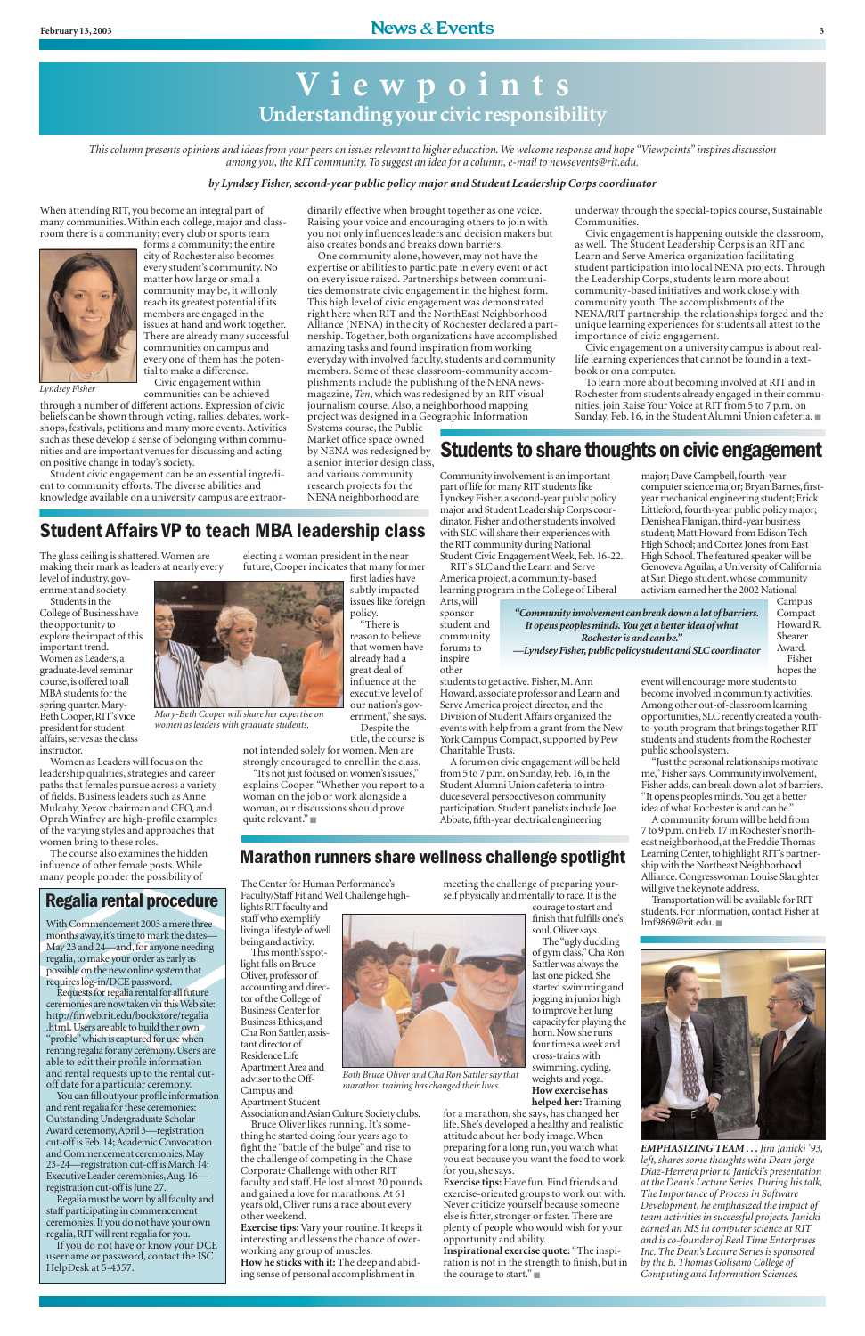When attending RIT, you become an integral part of many communities. Within each college, major and classroom there is a community; every club or sports team



forms a community; the entire city of Rochester also becomes every student's community. No matter how large or small a community may be, it will only reach its greatest potential if its members are engaged in the issues at hand and work together. There are already many successful communities on campus and every one of them has the potential to make a difference. Civic engagement within communities can be achieved

through a number of different actions. Expression of civic beliefs can be shown through voting, rallies, debates, workshops, festivals, petitions and many more events. Activities such as these develop a sense of belonging within communities and are important venues for discussing and acting on positive change in today's society.

Student civic engagement can be an essential ingredient to community efforts. The diverse abilities and knowledge available on a university campus are extraor-

dinarily effective when brought together as one voice. Raising your voice and encouraging others to join with you not only influences leaders and decision makers but also creates bonds and breaks down barriers.

One community alone, however, may not have the expertise or abilities to participate in every event or act on every issue raised. Partnerships between communities demonstrate civic engagement in the highest form. This high level of civic engagement was demonstrated right here when RIT and the NorthEast Neighborhood Alliance (NENA) in the city of Rochester declared a partnership. Together, both organizations have accomplished amazing tasks and found inspiration from working everyday with involved faculty, students and community members. Some of these classroom-community accomplishments include the publishing of the NENA newsmagazine, *Ten*, which was redesigned by an RIT visual journalism course. Also, a neighborhood mapping project was designed in a Geographic Information

Systems course, the Public Market office space owned by NENA was redesigned by a senior interior design class, and various community research projects for the NENA neighborhood are

underway through the special-topics course, Sustainable Communities.

Civic engagement is happening outside the classroom, as well. The Student Leadership Corps is an RIT and Learn and Serve America organization facilitating student participation into local NENA projects. Through the Leadership Corps, students learn more about community-based initiatives and work closely with community youth. The accomplishments of the NENA/RIT partnership, the relationships forged and the unique learning experiences for students all attest to the importance of civic engagement.

Civic engagement on a university campus is about reallife learning experiences that cannot be found in a textbook or on a computer.

To learn more about becoming involved at RIT and in Rochester from students already engaged in their communities, join Raise Your Voice at RIT from 5 to 7 p.m. on Sunday, Feb. 16, in the Student Alumni Union cafeteria. ■

The glass ceiling is shattered. Women are making their mark as leaders at nearly every level of industry, gov-

ernment and society. Students in the

College of Business have the opportunity to explore the impact of this important trend. Women as Leaders, a graduate-level seminar course, is offered to all MBA students for the spring quarter.Mary-Beth Cooper, RIT's vice president for student affairs, serves as the class instructor.

Women as Leaders will focus on the leadership qualities, strategies and career paths that females pursue across a variety of fields. Business leaders such as Anne Mulcahy, Xerox chairman and CEO, and Oprah Winfrey are high-profile examples of the varying styles and approaches that women bring to these roles.

The course also examines the hidden influence of other female posts. While many people ponder the possibility of

electing a woman president in the near future, Cooper indicates that many former

first ladies have subtly impacted issues like foreign policy.

"There is reason to believe that women have already had a great deal of influence at the executive level of our nation's government,"she says.

Despite the title, the course is

not intended solely for women. Men are

strongly encouraged to enroll in the class. "It's not just focused on women's issues," woman on the job or work alongside a woman, our discussions should prove

explains Cooper."Whether you report to a quite relevant." ■

> meeting the challenge of preparing yourself physically and mentally to race. It is the

# **Students to share thoughts on civic engagement**

*This column presents opinions and ideas from your peers on issues relevant to higher education. We welcome response and hope "Viewpoints" inspires discussion among you, the RIT community. To suggest an idea for a column, e-mail to newsevents@rit.edu.*

#### *by Lyndsey Fisher,second-year public policy major and Student Leadership Corps coordinator*

# **V i ewpoints Understanding your civic responsibility**

*Lyndsey Fisher*



*Mary-Beth Cooper will share her expertise on women as leaders with graduate students.*

*EMPHASIZING TEAM . . . Jim Janicki '93, left, shares some thoughts with Dean Jorge Díaz-Herrera prior to Janicki's presentation at the Dean's Lecture Series. During his talk, The Importance of Process in Software Development, he emphasized the impact of team activities in successful projects. Janicki earned an MS in computer science at RIT and is co-founder of Real Time Enterprises Inc. The Dean's Lecture Series is sponsored by the B. Thomas Golisano College of Computing and Information Sciences.*

#### **Student Affairs VP to teach MBA leadership class** major and Student Leadership Corps coordinator. Fisher and other students involved with SLC will share their experiences with

Community involvement is an important part of life for many RIT students like Lyndsey Fisher, a second-year public policy

the RIT community during National Student Civic Engagement Week, Feb. 16-22. RIT's SLC and the Learn and Serve America project, a community-based learning program in the College of Liberal

Arts, will sponsor student and

community other

forums to inspire

> students to get active. Fisher, M. Ann Howard, associate professor and Learn and Serve America project director, and the Division of Student Affairs organized the events with help from a grant from the New York Campus Compact, supported by Pew Charitable Trusts.

> A forum on civic engagement will be held from 5 to 7 p.m. on Sunday, Feb. 16, in the Student Alumni Union cafeteria to introduce several perspectives on community participation. Student panelists include Joe Abbate, fifth-year electrical engineering

major; Dave Campbell, fourth-year computer science major; Bryan Barnes, firstyear mechanical engineering student; Erick Littleford, fourth-year public policy major; Denishea Flanigan, third-year business student; Matt Howard from Edison Tech High School; and Cortez Jones from East High School. The featured speaker will be Genoveva Aguilar, a University of California at San Diego student, whose community activism earned her the 2002 National

> Campus Compact Howard R. Shearer Award.

Fisher hopes the

event will encourage more students to become involved in community activities. Among other out-of-classroom learning opportunities, SLC recently created a youthto-youth program that brings together RIT students and students from the Rochester public school system.

"Just the personal relationships motivate me,"Fisher says. Community involvement, Fisher adds, can break down a lot of barriers. "It opens peoples minds.You get a better idea of what Rochester is and can be."

A community forum will be held from 7 to 9 p.m. on Feb. 17 in Rochester's northeast neighborhood, at the Freddie Thomas Learning Center, to highlight RIT's partnership with the Northeast Neighborhood Alliance. Congresswoman Louise Slaughter will give the keynote address.

Transportation will be available for RIT students. For information, contact Fisher at lmf9869@rit.edu. ■



## **Marathon runners share wellness challenge spotlight**

The Center for Human Performance's Faculty/Staff Fit and Well Challenge highlights RIT faculty and

staff who exemplify living a lifestyle of well being and activity. This month's spot-

light falls on Bruce Oliver,professor of accounting and director of the College of Business Center for Business Ethics,and Cha Ron Sattler,assistant director of Residence Life Apartment Area and advisor to the Off-Campus and

Apartment Student

Association and Asian Culture Society clubs.

Bruce Oliver likes running. It's something he started doing four years ago to fight the "battle of the bulge" and rise to the challenge of competing in the Chase Corporate Challenge with other RIT faculty and staff. He lost almost 20 pounds and gained a love for marathons. At 61 years old, Oliver runs a race about every other weekend.

**Exercise tips:**Vary your routine. It keeps it interesting and lessens the chance of overworking any group of muscles.

**How he sticks with it:** The deep and abiding sense of personal accomplishment in

courage to start and finish that fulfills one's soul, Oliver says. The "ugly duckling of gym class,"Cha Ron Sattler was always the



weights and yoga.

**How exercise has helped her:** Training

for a marathon, she says, has changed her life. She's developed a healthy and realistic attitude about her body image. When preparing for a long run, you watch what you eat because you want the food to work for you, she says.

**Exercise tips:** Have fun. Find friends and exercise-oriented groups to work out with. Never criticize yourself because someone else is fitter, stronger or faster. There are plenty of people who would wish for your opportunity and ability.

**Inspirational exercise quote:** "The inspiration is not in the strength to finish, but in the courage to start." ■

*Both Bruce Oliver and Cha Ron Sattler say that marathon training has changed their lives.*

*"Community involvement can break down a lot of barriers. It opens peoples minds. You get a better idea of what Rochester is and can be." —Lyndsey Fisher,public policy student and SLC coordinator*

With Commencement 2003 a mere three months away, it's time to mark the dates-May 23 and  $24$ —and, for anyone needing regalia,to make your order as early as possible on the new online system that requires log-in/DCE password. Requests for regalia rental for all future ceremonies are now taken via this Web site: http://finweb.rit.edu/bookstore/regalia .html. Users are able to build their own "profile"which is captured for use when renting regalia for any ceremony.Users are able to edit their profile information and rental requests up to the rental cutoff date for a particular ceremony. You can fill out your profile information and rent regalia for these ceremonies: Outstanding Undergraduate Scholar Award ceremony,April 3—registration cut-off is Feb.14;Academic Convocation and Commencement ceremonies, May 23-24—registration cut-off is March 14; Executive Leader ceremonies,Aug.16 registration cut-off is June 27. Regalia must be worn by all faculty and staff participating in commencement ceremonies.If you do not have your own regalia,RIT will rent regalia for you. If you do not have or know your DCE username or password, contact the ISC HelpDesk at 5-4357.

## **Regalia rental procedure**